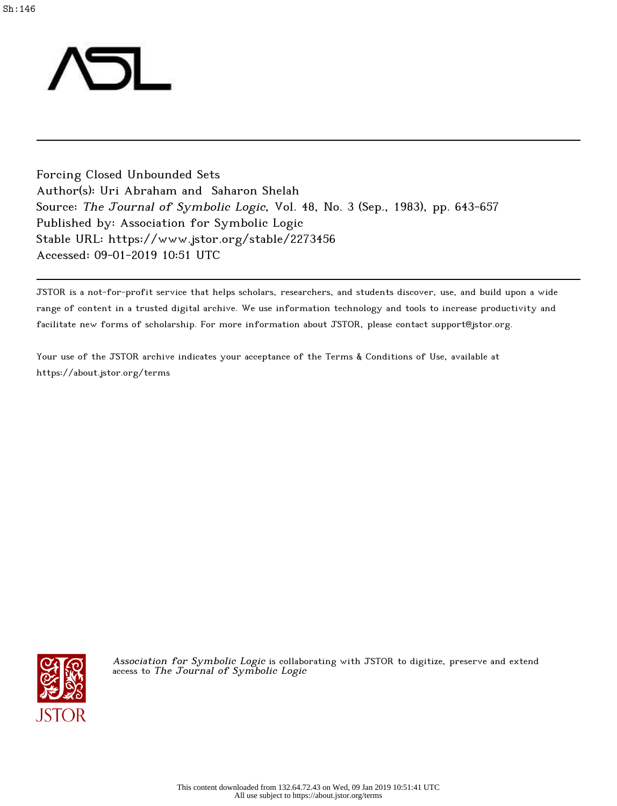

Forcing Closed Unbounded Sets Author(s): Uri Abraham and Saharon Shelah Source: The Journal of Symbolic Logic, Vol. 48, No. 3 (Sep., 1983), pp. 643-657 Published by: Association for Symbolic Logic Stable URL: https://www.jstor.org/stable/2273456 Accessed: 09-01-2019 10:51 UTC

JSTOR is a not-for-profit service that helps scholars, researchers, and students discover, use, and build upon a wide range of content in a trusted digital archive. We use information technology and tools to increase productivity and facilitate new forms of scholarship. For more information about JSTOR, please contact support@jstor.org.

Your use of the JSTOR archive indicates your acceptance of the Terms & Conditions of Use, available at https://about.jstor.org/terms



Association for Symbolic Logic is collaborating with JSTOR to digitize, preserve and extend access to The Journal of Symbolic Logic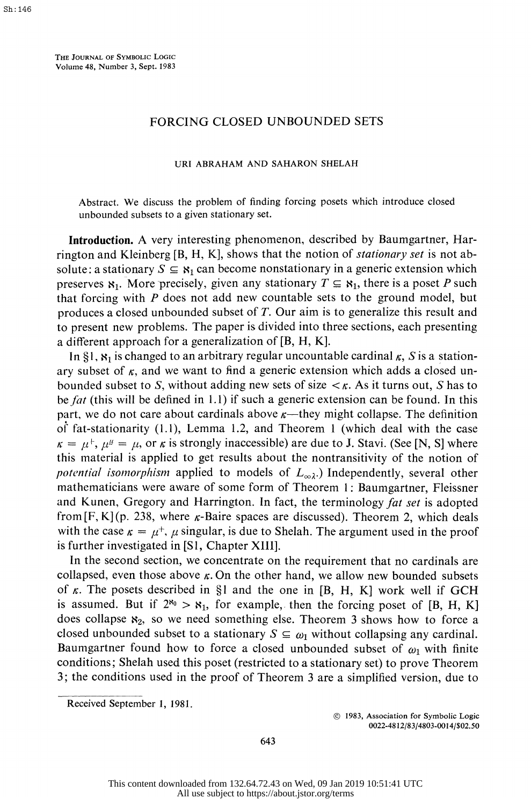THE JOURNAL OF SYMBOLIC LOGIC Volume 48, Number 3, Sept. 1983

## FORCING CLOSED UNBOUNDED SETS

## URI ABRAHAM AND SAHARON SHELAH

 Abstract. We discuss the problem of finding forcing posets which introduce closed unbounded subsets to a given stationary set.

 Introduction. A very interesting phenomenon, described by Baumgartner, Har rington and Kleinberg [B, H, K], shows that the notion of *stationary set* is not absolute: a stationary  $S \subseteq \mathbf{S}_1$  can become nonstationary in a generic extension which preserves  $S_1$ . More precisely, given any stationary  $T \subseteq S_1$ , there is a poset P such that forcing with  $P$  does not add new countable sets to the ground model, but produces a closed unbounded subset of T. Our aim is to generalize this result and to present new problems. The paper is divided into three sections, each presenting a different approach for a generalization of [B, H, K].

In  $\S$ 1,  $\mathbf{x}_1$  is changed to an arbitrary regular uncountable cardinal  $\kappa$ , S is a stationary subset of  $\kappa$ , and we want to find a generic extension which adds a closed unbounded subset to S, without adding new sets of size  $\lt k$ . As it turns out, S has to be fat (this will be defined in 1.1) if such a generic extension can be found. In this part, we do not care about cardinals above  $\kappa$ —they might collapse. The definition of fat-stationarity (1.1), Lemma 1.2, and Theorem 1 (which deal with the case  $\kappa = \mu^+, \mu^{\mu} = \mu$ , or  $\kappa$  is strongly inaccessible) are due to J. Stavi. (See [N, S] where this material is applied to get results about the nontransitivity of the notion of potential isomorphism applied to models of  $L_{\infty}$ .) Independently, several other mathematicians were aware of some form of Theorem 1: Baumgartner, Fleissner and Kunen, Gregory and Harrington. In fact, the terminology fat set is adopted from  $[F, K](p. 238,$  where  $\kappa$ -Baire spaces are discussed). Theorem 2, which deals with the case  $\kappa = \mu^+$ ,  $\mu$  singular, is due to Shelah. The argument used in the proof is further investigated in [S1, Chapter XIII].

 In the second section, we concentrate on the requirement that no cardinals are collapsed, even those above  $\kappa$ . On the other hand, we allow new bounded subsets of  $\kappa$ . The posets described in §1 and the one in [B, H, K] work well if GCH is assumed. But if  $2^{x_0} > x_1$ , for example, then the forcing poset of [B, H, K] does collapse  $x_2$ , so we need something else. Theorem 3 shows how to force a closed unbounded subset to a stationary  $S \subseteq \omega_1$  without collapsing any cardinal. Baumgartner found how to force a closed unbounded subset of  $\omega_1$  with finite conditions; Shelah used this poset (restricted to a stationary set) to prove Theorem 3; the conditions used in the proof of Theorem 3 are a simplified version, due to

 $©$  1983, Association for Symbolic Logic 0022-4812/83/4803-0014/\$02.50

643

Received September 1, 1981.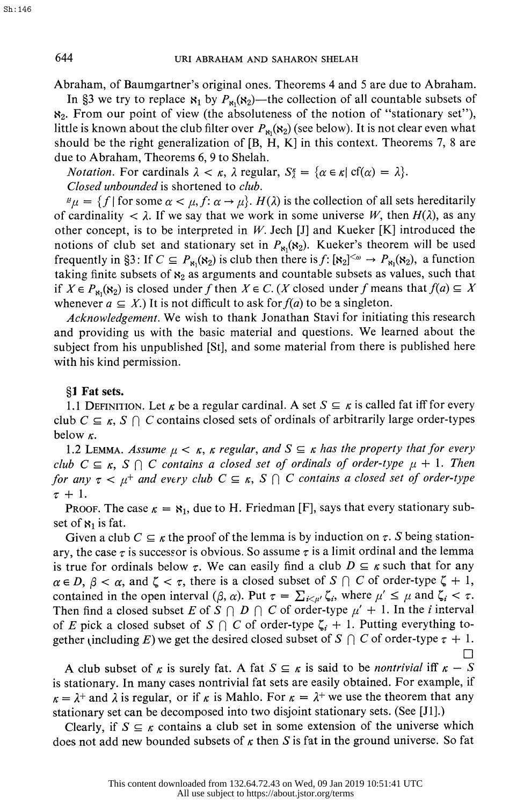Abraham, of Baumgartner's original ones. Theorems 4 and 5 are due to Abraham.

In §3 we try to replace  $\mathbf{x}_1$  by  $P_{\mathbf{x}_1}(\mathbf{x}_2)$ —the collection of all countable subsets of  $\aleph_2$ . From our point of view (the absoluteness of the notion of "stationary set"), little is known about the club filter over  $P_{\kappa_1}(\kappa_2)$  (see below). It is not clear even what should be the right generalization of [B, H, K] in this context. Theorems 7, 8 are due to Abraham, Theorems 6, 9 to Shelah.

*Notation.* For cardinals  $\lambda < \kappa$ ,  $\lambda$  regular,  $S_{\lambda}^{\kappa} = {\alpha \in \kappa | \text{ cf}( \alpha ) = \lambda }$ . Closed unbounded is shortened to club.

 $\mu_{\mu} = \{f \mid \text{for some } \alpha < \mu, f: \alpha \to \mu\}.$  H( $\lambda$ ) is the collection of all sets hereditarily of cardinality  $\langle \lambda \rangle$ . If we say that we work in some universe W, then  $H(\lambda)$ , as any other concept, is to be interpreted in W. Jech [J] and Kueker [K] introduced the notions of club set and stationary set in  $P_{\text{B1}}(\mathbf{8}_2)$ . Kueker's theorem will be used frequently in §3: If  $C \subseteq P_{\kappa_1}(\kappa_2)$  is club then there is  $f: [\kappa_2]^{<\omega} \to P_{\kappa_1}(\kappa_2)$ , a function taking finite subsets of  $\mathbf{x}_2$  as arguments and countable subsets as values, such that if  $X \in P_{\aleph_1}(\aleph_2)$  is closed under f then  $X \in C$ . (X closed under f means that  $f(a) \subseteq X$ whenever  $a \subseteq X$ .) It is not difficult to ask for  $f(a)$  to be a singleton.

Acknowledgement. We wish to thank Jonathan Stavi for initiating this research and providing us with the basic material and questions. We learned about the subject from his unpublished [St], and some material from there is published here with his kind permission.

## ?1 Fat sets.

1.1 DEFINITION. Let  $\kappa$  be a regular cardinal. A set  $S \subseteq \kappa$  is called fat iff for every club  $C \subseteq \kappa$ ,  $S \cap C$  contains closed sets of ordinals of arbitrarily large order-types below  $\kappa$ .

1.2 LEMMA. Assume  $\mu < \kappa$ ,  $\kappa$  regular, and  $S \subseteq \kappa$  has the property that for every club  $C \subseteq \kappa$ ,  $S \cap C$  contains a closed set of ordinals of order-type  $\mu + 1$ . Then for any  $\tau < \mu^+$  and every club  $C \subseteq \kappa$ ,  $S \cap C$  contains a closed set of order-type  $\tau + 1$ .

**PROOF.** The case  $\kappa = \mathbf{S}_1$ , due to H. Friedman [F], says that every stationary subset of  $x_1$  is fat.

Given a club  $C \subseteq \kappa$  the proof of the lemma is by induction on  $\tau$ . S being stationary, the case  $\tau$  is successor is obvious. So assume  $\tau$  is a limit ordinal and the lemma is true for ordinals below  $\tau$ . We can easily find a club  $D \subseteq \kappa$  such that for any  $\alpha \in D$ ,  $\beta < \alpha$ , and  $\zeta < \tau$ , there is a closed subset of  $S \cap C$  of order-type  $\zeta + 1$ , contained in the open interval  $(\beta, \alpha)$ . Put  $\tau = \sum_{i \leq \mu'} \zeta_i$ , where  $\mu' \leq \mu$  and  $\zeta_i < \tau$ . Then find a closed subset E of S  $\bigcap$  D  $\bigcap$  C of order-type  $\mu' + 1$ . In the i interval of E pick a closed subset of S  $\bigcap C$  of order-type  $\zeta_i + 1$ . Putting everything together (including E) we get the desired closed subset of S  $\bigcap C$  of order-type  $\tau + 1$ . П

A club subset of  $\kappa$  is surely fat. A fat  $S \subseteq \kappa$  is said to be *nontrivial* iff  $\kappa - S$  is stationary. In many cases nontrivial fat sets are easily obtained. For example, if  $\kappa = \lambda^+$  and  $\lambda$  is regular, or if  $\kappa$  is Mahlo. For  $\kappa = \lambda^+$  we use the theorem that any stationary set can be decomposed into two disjoint stationary sets. (See [JI].)

Clearly, if  $S \subseteq \kappa$  contains a club set in some extension of the universe which does not add new bounded subsets of  $\kappa$  then S is fat in the ground universe. So fat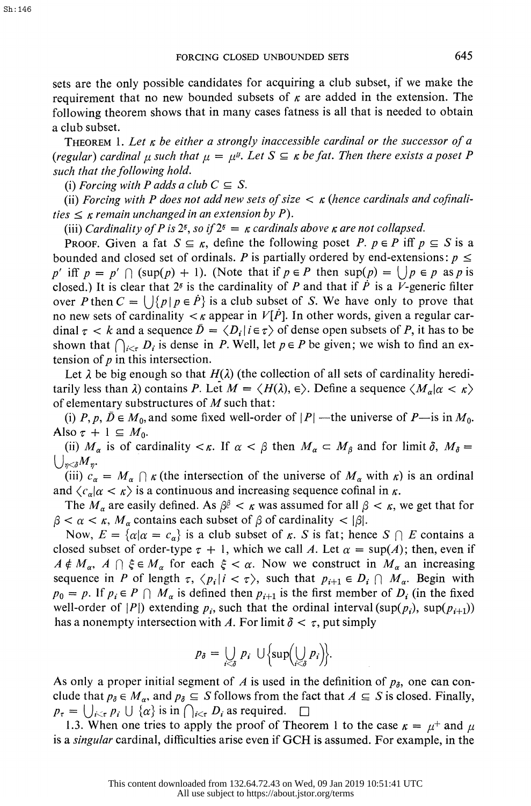sets are the only possible candidates for acquiring a club subset, if we make the requirement that no new bounded subsets of  $\kappa$  are added in the extension. The following theorem shows that in many cases fatness is all that is needed to obtain a club subset.

THEOREM 1. Let  $\kappa$  be either a strongly inaccessible cardinal or the successor of a (regular) cardinal  $\mu$  such that  $\mu = \mu^{\mu}$ . Let  $S \subseteq \kappa$  be fat. Then there exists a poset P such that the following hold.

(i) Forcing with P adds a club  $C \subseteq S$ .

(ii) Forcing with P does not add new sets of size  $\lt$   $\kappa$  (hence cardinals and cofinalities  $\leq \kappa$  remain unchanged in an extension by P).

(iii) Cardinality of P is  $2^s$ , so if  $2^s = \kappa$  cardinals above  $\kappa$  are not collapsed.

**PROOF.** Given a fat  $S \subseteq \kappa$ , define the following poset P.  $p \in P$  iff  $p \subseteq S$  is a bounded and closed set of ordinals. P is partially ordered by end-extensions:  $p \leq$ p' iff  $p = p' \cap (\sup(p) + 1)$ . (Note that if  $p \in P$  then  $\sup(p) = (p \in p \text{ as } p \text{ is } p$ closed.) It is clear that  $2^{\delta}$  is the cardinality of P and that if P is a V-generic filter over P then  $C = \left\{ \left| \{ p \mid p \in \dot{P} \} \right| \leq a \right\}$  is a club subset of S. We have only to prove that no new sets of cardinality  $\lt k$  appear in  $V[P]$ . In other words, given a regular cardinal  $\tau < k$  and a sequence  $\bar{D} = \langle D_i | i \in \tau \rangle$  of dense open subsets of P, it has to be shown that  $\bigcap_{i \leq \tau} D_i$  is dense in P. Well, let  $p \in P$  be given; we wish to find an extension of  $p$  in this intersection.

Let  $\lambda$  be big enough so that  $H(\lambda)$  (the collection of all sets of cardinality hereditarily less than  $\lambda$ ) contains P. Let  $M = \langle H(\lambda), \epsilon \rangle$ . Define a sequence  $\langle M_{\alpha} | \alpha \langle \kappa \rangle$ of elementary substructures of  $M$  such that:

(i) P, p,  $\bar{D} \in M_0$ , and some fixed well-order of |P| --the universe of P-is in  $M_0$ . Also  $\tau + 1 \subseteq M_0$ .

(ii)  $M_{\alpha}$  is of cardinality  $\lt k$ . If  $\alpha < \beta$  then  $M_{\alpha} \subset M_{\beta}$  and for limit  $\delta$ ,  $M_{\delta} =$  $\bigcup_{\eta<\delta}M_{\eta}.$ 

(iii)  $c_{\alpha} = M_{\alpha} \cap \kappa$  (the intersection of the universe of  $M_{\alpha}$  with  $\kappa$ ) is an ordinal and  $\langle c_{\alpha} | \alpha \langle \kappa \rangle$  is a continuous and increasing sequence cofinal in  $\kappa$ .

The  $M_{\alpha}$  are easily defined. As  $\beta^{\beta} < \kappa$  was assumed for all  $\beta < \kappa$ , we get that for  $\beta < \alpha < \kappa$ ,  $M_{\alpha}$  contains each subset of  $\beta$  of cardinality  $< |\beta|$ .

Now,  $E = {\alpha | \alpha = c_{\alpha}}$  is a club subset of  $\kappa$ . S is fat; hence  $S \cap E$  contains a closed subset of order-type  $\tau + 1$ , which we call A. Let  $\alpha = \sup(A)$ ; then, even if  $A \notin M_\alpha$ ,  $A \cap \xi \in M_\alpha$  for each  $\xi < \alpha$ . Now we construct in  $M_\alpha$  an increasing sequence in P of length  $\tau$ ,  $\langle p_i | i \langle \tau \rangle$ , such that  $p_{i+1} \in D_i \cap M_{\alpha}$ . Begin with  $p_0 = p$ . If  $p_i \in P \cap M_\alpha$  is defined then  $p_{i+1}$  is the first member of  $D_i$  (in the fixed well-order of  $|P|$ ) extending  $p_i$ , such that the ordinal interval  $(\sup(p_i), \sup(p_{i+1}))$ has a nonempty intersection with A. For limit  $\delta < \tau$ , put simply

$$
p_{\delta} = \bigcup_{i < \delta} p_i \cup \left\{ \sup \left( \bigcup_{i < \delta} p_i \right) \right\}.
$$

As only a proper initial segment of A is used in the definition of  $p_{\delta}$ , one can conclude that  $p_{\delta} \in M_{\alpha}$ , and  $p_{\delta} \subseteq S$  follows from the fact that  $A \subseteq S$  is closed. Finally,  $p_{\tau} = \bigcup_{i \leq \tau} p_i \cup \{\alpha\}$  is in  $\bigcap_{i \leq \tau} D_i$  as required.  $\square$ 

1.3. When one tries to apply the proof of Theorem 1 to the case  $\kappa = \mu^+$  and  $\mu$ is a singular cardinal, difficulties arise even if GCH is assumed. For example, in the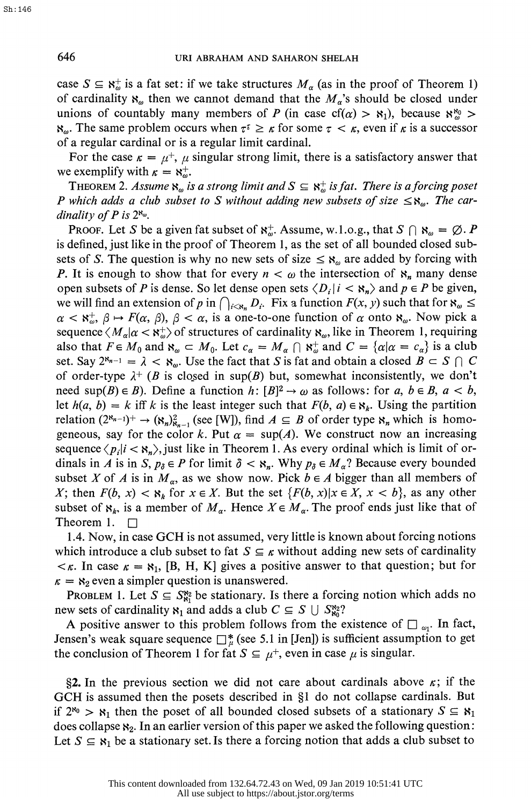case  $S \subseteq \mathbb{R}_{\omega}^+$  is a fat set: if we take structures  $M_{\alpha}$  (as in the proof of Theorem 1) of cardinality  $\aleph_{\omega}$  then we cannot demand that the  $M_{\alpha}$ 's should be closed under unions of countably many members of P (in case  $cf(\alpha) > \aleph_1$ ), because  $\aleph_{\omega}^{\aleph_0} >$  $\aleph_{\omega}$ . The same problem occurs when  $\tau^{\tau} \geq \kappa$  for some  $\tau < \kappa$ , even if  $\kappa$  is a successor of a regular cardinal or is a regular limit cardinal.

For the case  $\kappa = \mu^+, \mu$  singular strong limit, there is a satisfactory answer that we exemplify with  $\kappa = \aleph_{\omega}^{+}$ .

THEOREM 2. Assume  $\aleph_{\omega}$  is a strong limit and  $S \subseteq \aleph_{\omega}^+$  is fat. There is a forcing poset P which adds a club subset to S without adding new subsets of size  $\leq \aleph_{\omega}$ . The cardinality of P is  $2^{\aleph_{\omega}}$ .

PROOF. Let S be a given fat subset of  $\mathbf{x}_{\omega}^+$ . Assume, w.1.o.g., that  $S \cap \mathbf{x}_{\omega} = \emptyset$ . P is defined, just like in the proof of Theorem 1, as the set of all bounded closed sub sets of S. The question is why no new sets of size  $\leq \aleph_{\omega}$  are added by forcing with P. It is enough to show that for every  $n < \omega$  the intersection of  $\aleph_n$  many dense open subsets of P is dense. So let dense open sets  $\langle D_i | i \rangle \langle \mathbf{x}_n \rangle$  and  $p \in P$  be given, we will find an extension of p in  $\bigcap_{i\leq \aleph_n} D_i$ . Fix a function  $F(x, y)$  such that for  $\aleph_\omega \leq$  $\alpha < \aleph_{\omega}^+$ ,  $\beta \mapsto F(\alpha, \beta)$ ,  $\beta < \alpha$ , is a one-to-one function of  $\alpha$  onto  $\aleph_{\omega}$ . Now pick a sequence  $\langle M_{\alpha}|\alpha \langle \mathbf{x}_\omega^+ \rangle$  of structures of cardinality  $\mathbf{x}_\omega$ , like in Theorem 1, requiring also that  $F \in M_0$  and  $\aleph_{\omega} \subset M_0$ . Let  $c_{\alpha} = M_{\alpha} \cap \aleph_{\omega}^+$  and  $C = {\alpha | \alpha = c_{\alpha}}$  is a club set. Say  $2^{\aleph_{n-1}} = \lambda < \aleph_{\omega}$ . Use the fact that S is fat and obtain a closed  $B \subset S \cap C$ of order-type  $\lambda^+$  (B is closed in sup(B) but, somewhat inconsistently, we don't need sup(B)  $\in$  B). Define a function h:  $[B]^2 \rightarrow \omega$  as follows: for a,  $b \in B$ ,  $a < b$ , let  $h(a, b) = k$  iff k is the least integer such that  $F(b, a) \in \mathbb{R}_k$ . Using the partition relation  $(2^{\aleph_{n-1}})^+ \rightarrow (\aleph_n)_{\aleph_{n-1}}^2$  (see [W]), find  $A \subseteq B$  of order type  $\aleph_n$  which is homogeneous, say for the color k. Put  $\alpha = \sup(A)$ . We construct now an increasing sequence  $\langle p_i|i\langle s_n\rangle$ , just like in Theorem 1. As every ordinal which is limit of ordinals in A is in S,  $p_{\delta} \in P$  for limit  $\delta < \aleph_n$ . Why  $p_{\delta} \in M_{\alpha}$ ? Because every bounded subset X of A is in  $M_a$ , as we show now. Pick  $b \in A$  bigger than all members of X; then  $F(b, x) < \aleph_k$  for  $x \in X$ . But the set  $\{F(b, x) | x \in X, x < b\}$ , as any other subset of  $\mathbf{x}_k$ , is a member of  $M_\alpha$ . Hence  $X \in M_\alpha$ . The proof ends just like that of Theorem 1.  $\Box$ 

 1.4. Now, in case GCH is not assumed, very little is known about forcing notions which introduce a club subset to fat  $S \subseteq \kappa$  without adding new sets of cardinality  $\langle \kappa \rangle$ . In case  $\kappa = \kappa_1$ , [B, H, K] gives a positive answer to that question; but for  $\kappa = \kappa_2$  even a simpler question is unanswered.

PROBLEM 1. Let  $S \subseteq S_{\mathbb{N}_1}^{\mathbb{N}_2}$  be stationary. Is there a forcing notion which adds no new sets of cardinality  $\mathbf{s}_1$  and adds a club  $C \subseteq S \cup S_{\mathbf{s}_0}^{\mathbf{s}_2}$ ?

A positive answer to this problem follows from the existence of  $\Box_{\omega_1}$ . In fact, Jensen's weak square sequence  $\Box_{\mu}^{*}$  (see 5.1 in [Jen]) is sufficient assumption to get the conclusion of Theorem 1 for fat  $S \subseteq \mu^+$ , even in case  $\mu$  is singular.

§2. In the previous section we did not care about cardinals above  $\kappa$ ; if the GCH is assumed then the posets described in §1 do not collapse cardinals. But if  $2^{\kappa_0} > \kappa_1$  then the poset of all bounded closed subsets of a stationary  $S \subseteq \kappa_1$ does collapse  $x_2$ . In an earlier version of this paper we asked the following question: Let  $S \subseteq \mathfrak{R}_1$  be a stationary set. Is there a forcing notion that adds a club subset to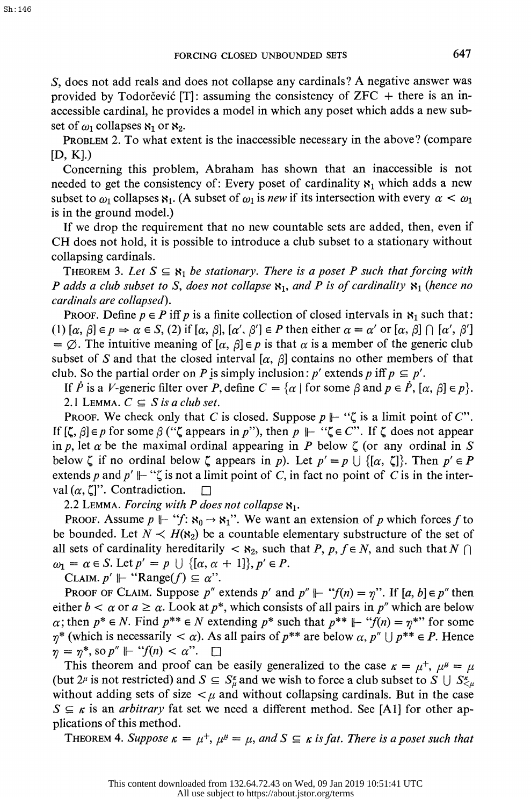S, does not add reals and does not collapse any cardinals? A negative answer was provided by Todorcevic [T]: assuming the consistency of  $ZFC +$  there is an in accessible cardinal, he provides a model in which any poset which adds a new sub set of  $\omega_1$  collapses  $\aleph_1$  or  $\aleph_2$ .

 PROBLEM 2. To what extent is the inaccessible necessary in the above? (compare  $[D, K]$ .

 Concerning this problem, Abraham has shown that an inaccessible is not needed to get the consistency of: Every poset of cardinality  $\aleph_1$  which adds a new subset to  $\omega_1$  collapses  $\aleph_1$ . (A subset of  $\omega_1$  is new if its intersection with every  $\alpha < \omega_1$ is in the ground model.)

 If we drop the requirement that no new countable sets are added, then, even if CH does not hold, it is possible to introduce a club subset to a stationary without collapsing cardinals.

THEOREM 3. Let  $S \subseteq \aleph_1$  be stationary. There is a poset P such that forcing with P adds a club subset to S, does not collapse  $\mathbf{s}_1$ , and P is of cardinality  $\mathbf{s}_1$  (hence no cardinals are collapsed).

PROOF. Define  $p \in P$  iff p is a finite collection of closed intervals in  $\aleph_1$  such that: (1)  $[\alpha, \beta] \in p \Rightarrow \alpha \in S$ , (2) if  $[\alpha, \beta]$ ,  $[\alpha', \beta'] \in P$  then either  $\alpha = \alpha'$  or  $[\alpha, \beta] \cap [\alpha', \beta']$ =  $\emptyset$ . The intuitive meaning of  $[\alpha, \beta] \in p$  is that  $\alpha$  is a member of the generic club subset of S and that the closed interval  $[\alpha, \beta]$  contains no other members of that club. So the partial order on P is simply inclusion: p' extends p iff  $p \subseteq p'$ .

If P is a V-generic filter over P, define  $C = \{ \alpha \mid \text{for some } \beta \text{ and } p \in P, [\alpha, \beta] \in p \}.$ 2.1 LEMMA.  $C \subseteq S$  is a club set.

PROOF. We check only that C is closed. Suppose  $p \Vdash "C$  is a limit point of C". If  $[\zeta, \beta] \in p$  for some  $\beta$  (" $\zeta$  appears in p"), then  $p \Vdash " \zeta \in C"$ . If  $\zeta$  does not appear in p, let  $\alpha$  be the maximal ordinal appearing in P below  $\zeta$  (or any ordinal in S below  $\zeta$  if no ordinal below  $\zeta$  appears in p). Let  $p' = p \cup \{[\alpha, \zeta]\}\)$ . Then  $p' \in P$ extends p and  $p' \Vdash ``\zeta$  is not a limit point of C, in fact no point of C is in the interval  $(\alpha, \zeta)$ ". Contradiction.  $\square$ 

2.2 LEMMA. Forcing with P does not collapse  $\aleph_1$ .

PROOF. Assume  $p \Vdash "f: \aleph_0 \rightarrow \aleph_1"$ . We want an extension of p which forces f to be bounded. Let  $N \prec H(\mathbf{x}_2)$  be a countable elementary substructure of the set of all sets of cardinality hereditarily  $\langle x_2, x_3 \rangle$  such that  $P, p, f \in N$ , and such that  $N \cap$  $\omega_1 = \alpha \in S$ . Let  $p' = p \cup \{[\alpha, \alpha + 1]\}, p' \in P$ .

CLAIM.  $p' \Vdash ``Range(f) \subseteq \alpha$ ".

**PROOF OF CLAIM.** Suppose p'' extends p' and  $p'' \Vdash ``f(n) = \eta$ ". If  $[a, b] \in p''$  then either  $b < \alpha$  or  $a \ge \alpha$ . Look at  $p^*$ , which consists of all pairs in  $p''$  which are below  $\alpha$ ; then  $p^* \in N$ . Find  $p^{**} \in N$  extending  $p^*$  such that  $p^{**} \Vdash ``f(n) = \eta^{**}$  for some  $\eta^*$  (which is necessarily  $\langle \alpha \rangle$ ). As all pairs of  $p^{**}$  are below  $\alpha, p'' \cup p^{**} \in P$ . Hence  $\eta = \eta^*$ , so  $p'' \Vdash ``f(n) < \alpha$ ".  $\Box$ 

This theorem and proof can be easily generalized to the case  $\kappa = \mu^+, \mu^{\mu} = \mu$ (but 2<sup> $\mu$ </sup> is not restricted) and  $S \subseteq S_a^{\kappa}$  and we wish to force a club subset to  $S \cup S_{\leq \mu}^{\kappa}$ without adding sets of size  $\lt \mu$  and without collapsing cardinals. But in the case  $S \subseteq \kappa$  is an *arbitrary* fat set we need a different method. See [A1] for other applications of this method.

THEOREM 4. Suppose  $\kappa = \mu^+, \mu^{\mu} = \mu$ , and  $S \subseteq \kappa$  is fat. There is a poset such that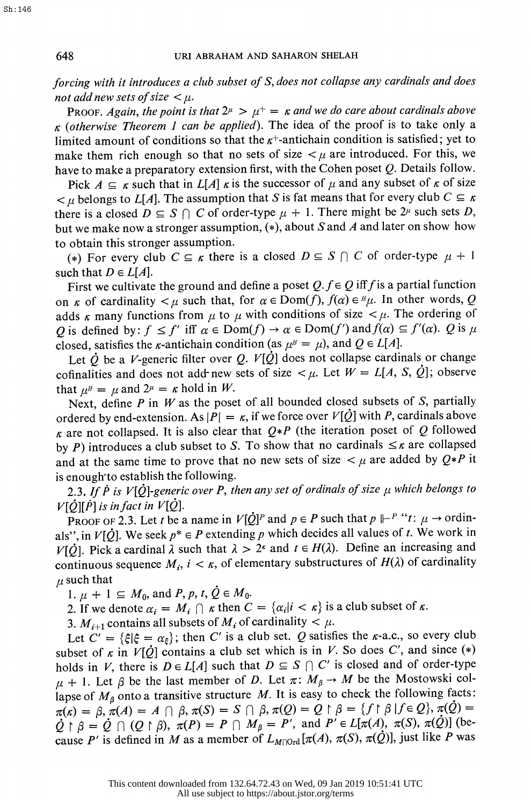forcing with it introduces a club subset of S, does not collapse any cardinals and does not add new sets of size  $\lt \mu$ .

PROOF. Again, the point is that  $2^{\mu} > \mu^+ = \kappa$  and we do care about cardinals above  $\kappa$  (otherwise Theorem 1 can be applied). The idea of the proof is to take only a limited amount of conditions so that the  $\kappa^+$ -antichain condition is satisfied; yet to make them rich enough so that no sets of size  $\lt \mu$  are introduced. For this, we have to make a preparatory extension first, with the Cohen poset  $Q$ . Details follow.

Pick  $A \subseteq \kappa$  such that in  $L[A]$   $\kappa$  is the successor of  $\mu$  and any subset of  $\kappa$  of size  $\lt \mu$  belongs to L[A]. The assumption that S is fat means that for every club  $C \subseteq \kappa$ there is a closed  $D \subseteq S \cap C$  of order-type  $\mu + 1$ . There might be  $2^{\mu}$  such sets D, but we make now a stronger assumption,  $(*)$ , about S and A and later on show how to obtain this stronger assumption.

(\*) For every club  $C \subseteq \kappa$  there is a closed  $D \subseteq S \cap C$  of order-type  $\mu + 1$ such that  $D \in L[A]$ .

First we cultivate the ground and define a poset  $Q.f \in Q$  iff f is a partial function on  $\kappa$  of cardinality  $\lt \mu$  such that, for  $\alpha \in \text{Dom}(f)$ ,  $f(\alpha) \in {}^{\mu}\mu$ . In other words, Q adds  $\kappa$  many functions from  $\mu$  to  $\mu$  with conditions of size  $\lt \mu$ . The ordering of Q is defined by:  $f \le f'$  iff  $\alpha \in Dom(f) \to \alpha \in Dom(f')$  and  $f(\alpha) \subseteq f'(\alpha)$ . Q is  $\mu$ closed, satisfies the  $\kappa$ -antichain condition (as  $\mu^{\mu} = \mu$ ), and  $Q \in L[A]$ .

Let  $\dot{Q}$  be a V-generic filter over Q.  $V[\dot{Q}]$  does not collapse cardinals or change cofinalities and does not add-new sets of size  $\lt \mu$ . Let  $W = L[A, S, \dot{Q}]$ ; observe that  $\mu^{\mu} = \mu$  and  $2^{\mu} = \kappa$  hold in W.

Next, define  $P$  in  $W$  as the poset of all bounded closed subsets of  $S$ , partially ordered by end-extension. As  $|P| = \kappa$ , if we force over  $V[\dot{Q}]$  with P, cardinals above  $\kappa$  are not collapsed. It is also clear that  $Q*P$  (the iteration poset of Q followed by P) introduces a club subset to S. To show that no cardinals  $\leq \kappa$  are collapsed and at the same time to prove that no new sets of size  $\lt \mu$  are added by  $Q*P$  it is enough to establish the following.

2.3. If P is V[ $\dot{Q}$ ]-generic over P, then any set of ordinals of size  $\mu$  which belongs to  $V[\hat{Q}][\hat{P}]$  is in fact in  $V[\hat{Q}]$ .

PROOF OF 2.3. Let t be a name in  $V[\dot{Q}]^P$  and  $p \in P$  such that  $p \Vdash^P$  "t:  $\mu \to \text{ordin-}$ als", in  $V[\hat{Q}]$ . We seek  $p^* \in P$  extending p which decides all values of t. We work in  $V[\hat{Q}]$ . Pick a cardinal  $\lambda$  such that  $\lambda > 2^{\kappa}$  and  $t \in H(\lambda)$ . Define an increasing and continuous sequence  $M_i$ ,  $i < \kappa$ , of elementary substructures of  $H(\lambda)$  of cardinality  $\mu$  such that

1.  $\mu + 1 \subseteq M_0$ , and  $P, p, t, \dot{Q} \in M_0$ .

2. If we denote  $\alpha_i = M_i \cap \kappa$  then  $C = {\alpha_i | i \lt \kappa}$  is a club subset of  $\kappa$ .

3.  $M_{i+1}$  contains all subsets of  $M_i$  of cardinality  $\lt \mu$ .

Let  $C' = \{\xi | \xi = \alpha_{\xi}\}\;$ ; then C' is a club set. Q satisfies the  $\kappa$ -a.c., so every club subset of  $\kappa$  in  $V[\dot{Q}]$  contains a club set which is in V. So does C', and since (\*) holds in V, there is  $D \in L[A]$  such that  $D \subseteq S \cap C'$  is closed and of order-type  $\mu$  + 1. Let  $\beta$  be the last member of D. Let  $\pi: M_{\beta} \to M$  be the Mostowski collapse of  $M_\beta$  onto a transitive structure M. It is easy to check the following facts:  $\pi(\kappa) = \beta$ ,  $\pi(A) = A \cap \beta$ ,  $\pi(S) = S \cap \beta$ ,  $\pi(Q) = Q \upharpoonright \beta = \{f \upharpoonright \beta \mid f \in Q\}$ ,  $\pi(Q) =$  $\dot{Q} \restriction \beta = \dot{Q} \cap (Q \restriction \beta), \pi(P) = P \cap M_\beta = P'$ , and  $P' \in L[\pi(A), \pi(S), \pi(\dot{Q})]$  (because P' is defined in M as a member of  $L_{M\cap \text{Ord}}[\pi(A), \pi(S), \pi(\mathcal{Q})]$ , just like P was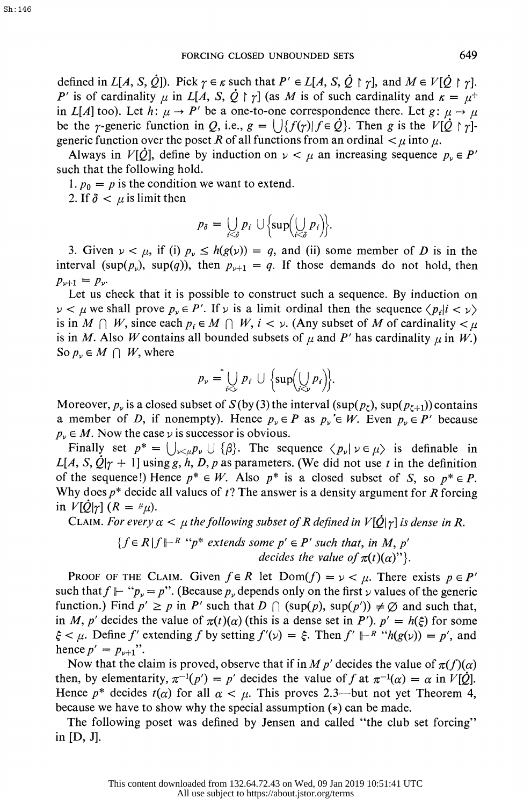defined in  $L[A, S, \dot{Q}]$ ). Pick  $\gamma \in \kappa$  such that  $P' \in L[A, S, \dot{Q} \upharpoonright \gamma]$ , and  $M \in V[\dot{Q} \upharpoonright \gamma]$ . P' is of cardinality  $\mu$  in L[A, S,  $\dot{Q} \restriction \gamma$ ] (as M is of such cardinality and  $\kappa = \mu^+$ in L[A] too). Let h:  $\mu \to P'$  be a one-to-one correspondence there. Let  $g: \mu \to \mu$ be the  $\gamma$ -generic function in Q, i.e.,  $g = \bigcup \{f(\gamma) | f \in \dot{Q}\}\)$ . Then g is the  $V[\dot{Q} \restriction \gamma]$ generic function over the poset R of all functions from an ordinal  $\lt \mu$  into  $\mu$ .

Always in  $V[\dot{Q}]$ , define by induction on  $\nu < \mu$  an increasing sequence  $p_{\nu} \in P'$ such that the following hold.

1.  $p_0 = p$  is the condition we want to extend.

2. If  $\delta < \mu$  is limit then

$$
p_{\delta} = \bigcup_{i < \delta} p_i \cup \left\{ \sup \left( \bigcup_{i < \delta} p_i \right) \right\}.
$$

3. Given  $\nu < \mu$ , if (i)  $p_{\nu} \leq h(g(\nu)) = q$ , and (ii) some member of D is in the interval (sup( $p_{\nu}$ ), sup(q)), then  $p_{\nu+1} = q$ . If those demands do not hold, then  $p_{\nu+1} = p_{\nu}$ .

 Let us check that it is possible to construct such a sequence. By induction on  $\nu < \mu$  we shall prove  $p_{\nu} \in P'$ . If  $\nu$  is a limit ordinal then the sequence  $\langle p_i | i < \nu \rangle$ is in  $M \cap W$ , since each  $p_i \in M \cap W$ ,  $i < \nu$ . (Any subset of M of cardinality  $\lt \mu$ is in M. Also W contains all bounded subsets of  $\mu$  and P' has cardinality  $\mu$  in W.) So  $p_{\nu} \in M \cap W$ , where

$$
p_{\nu} = \bigcup_{i < \nu} p_i \cup \left\{ \sup \left( \bigcup_{i < \nu} p_i \right) \right\}.
$$

Moreover,  $p_\nu$  is a closed subset of  $S(\nu(3))$  the interval (sup( $p_\nu$ ), sup( $p_{\nu+1}$ )) contains a member of D, if nonempty). Hence  $p_{\nu} \in P$  as  $p_{\nu} \in W$ . Even  $p_{\nu} \in P'$  because  $p_{\nu} \in M$ . Now the case  $\nu$  is successor is obvious.

Finally set  $p^* = \bigcup_{\nu \leq \mu} p_{\nu} \cup \{\beta\}$ . The sequence  $\langle p_{\nu} | \nu \in \mu \rangle$  is definable in  $L[A, S, \dot{Q}]$ <sub> $\gamma$ </sub> + 1] using g, h, D, p as parameters. (We did not use t in the definition of the sequence!) Hence  $p^* \in W$ . Also  $p^*$  is a closed subset of S, so  $p^* \in P$ . Why does  $p^*$  decide all values of  $t$ ? The answer is a density argument for R forcing in  $V[Q|_T]$   $(R = \mu \mu)$ .

CLAIM. For every  $\alpha < \mu$  the following subset of R defined in  $V[\dot{Q}|\gamma]$  is dense in R.

$$
\{f \in R | f \Vdash^R ``p^* \text{ extends some } p' \in P' \text{ such that, in } M, p' \}
$$
  
decides the value of  $\pi(t)(\alpha)$ ''}.

PROOF OF THE CLAIM. Given  $f \in R$  let  $Dom(f) = \nu < \mu$ . There exists  $p \in P'$ such that  $f \Vdash "p_{\nu} = p"$ . (Because  $p_{\nu}$  depends only on the first  $\nu$  values of the generic function.) Find  $p' \ge p$  in P' such that  $D \cap (\sup(p), \sup(p')) \ne \emptyset$  and such that, in M, p' decides the value of  $\pi(t)(\alpha)$  (this is a dense set in P').  $p' = h(\xi)$  for some  $\xi < \mu$ . Define f' extending f by setting  $f'(\nu) = \xi$ . Then  $f' \Vdash^R$  " $h(g(\nu)) = p'$ , and hence  $p' = p_{\nu+1}$ ".

Now that the claim is proved, observe that if in M p' decides the value of  $\pi(f)(\alpha)$ then, by elementarity,  $\pi^{-1}(p') = p'$  decides the value of f at  $\pi^{-1}(\alpha) = \alpha$  in  $V[\dot{Q}]$ . Hence  $p^*$  decides  $t(\alpha)$  for all  $\alpha < \mu$ . This proves 2.3—but not yet Theorem 4, because we have to show why the special assumption (\*) can be made.

 The following poset was defined by Jensen and called "the club set forcing" in [D, J].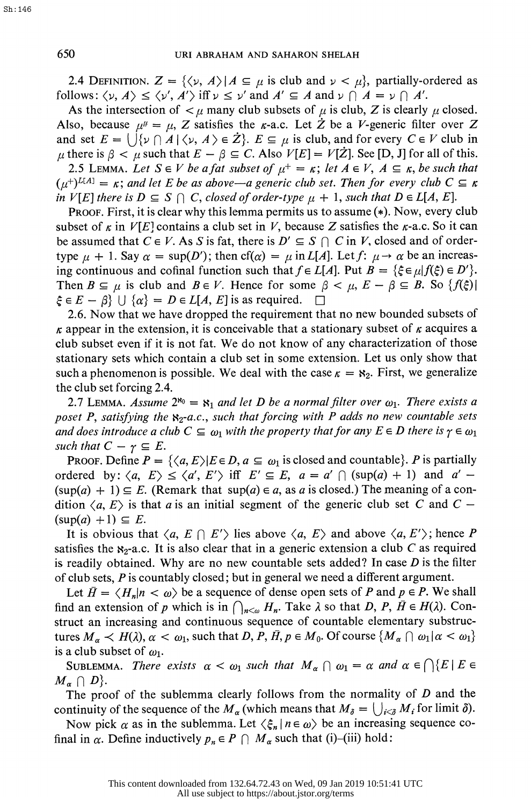2.4 DEFINITION.  $Z = {\langle \psi, A \rangle | A \subseteq \mu \text{ is club and } \psi < \mu}$ , partially-ordered as follows:  $\langle \nu, A \rangle \leq \langle \nu', A' \rangle$  iff  $\nu \leq \nu'$  and  $A' \subseteq A$  and  $\nu \cap A = \nu \cap A'$ .

As the intersection of  $\lt \mu$  many club subsets of  $\mu$  is club, Z is clearly  $\mu$  closed. Also, because  $\mu^{\mu} = \mu$ , Z satisfies the *k*-a.c. Let  $\dot{Z}$  be a *V*-generic filter over Z and set  $E = \bigcup \{v \cap A \mid \langle v, A \rangle \in \mathbb{Z} \}$ .  $E \subseteq \mu$  is club, and for every  $C \in V$  club in  $\mu$  there is  $\beta < \mu$  such that  $E - \beta \subseteq C$ . Also  $V[E] = V[\dot{Z}]$ . See [D, J] for all of this. 2.5 LEMMA. Let  $S \in V$  be a fat subset of  $\mu^+ = \kappa$ ; let  $A \in V$ ,  $A \subseteq \kappa$ , be such that  $(\mu^+)^{L[A]} = \kappa$ ; and let E be as above—a generic club set. Then for every club  $C \subseteq \kappa$ in  $V[E]$  there is  $D \subseteq S \cap C$ , closed of order-type  $\mu + 1$ , such that  $D \in L[A, E]$ .

 PROOF. First, it is clear why this lemma permits us to assume (\*). Now, every club subset of  $\kappa$  in  $V[E]$  contains a club set in V, because Z satisfies the  $\kappa$ -a.c. So it can be assumed that  $C \in V$ . As S is fat, there is  $D' \subseteq S \cap C$  in V, closed and of ordertype  $\mu + 1$ . Say  $\alpha = \sup(D')$ ; then cf( $\alpha$ ) =  $\mu$  in L[A]. Let f:  $\mu \rightarrow \alpha$  be an increasing continuous and cofinal function such that  $f \in L[A]$ . Put  $B = {\xi \in \mu | f(\xi) \in D'}$ . Then  $B \subseteq \mu$  is club and  $B \in V$ . Hence for some  $\beta < \mu$ ,  $E - \beta \subseteq B$ . So  $\{f(\xi)\}\$  $\xi \in E - \beta$   $\cup$   $\{\alpha\} = D \in L[A, E]$  is as required.  $\square$ 

 2.6. Now that we have dropped the requirement that no new bounded subsets of  $\kappa$  appear in the extension, it is conceivable that a stationary subset of  $\kappa$  acquires a club subset even if it is not fat. We do not know of any characterization of those stationary sets which contain a club set in some extension. Let us only show that such a phenomenon is possible. We deal with the case  $\kappa = \kappa_2$ . First, we generalize the club set forcing 2.4.

2.7 LEMMA. Assume  $2^{r_0} = r_1$  and let D be a normal filter over  $\omega_1$ . There exists a poset P, satisfying the  $x_2-a.c.$ , such that forcing with P adds no new countable sets and does introduce a club  $C \subseteq \omega_1$  with the property that for any  $E \in D$  there is  $\gamma \in \omega_1$ such that  $C - \gamma \subseteq E$ .

PROOF. Define  $P = \{ \langle a, E \rangle | E \in D, a \subseteq \omega_1 \text{ is closed and countable} \}.$  P is partially ordered by:  $\langle a, E \rangle \le \langle a', E' \rangle$  iff  $E' \subseteq E$ ,  $a = a' \cap (\sup(a) + 1)$  and  $a' (sup(a) + 1) \subseteq E$ . (Remark that sup(a)  $\in$  a, as a is closed.) The meaning of a condition  $\langle a, E \rangle$  is that a is an initial segment of the generic club set C and C –  $(\sup(a) +1) \subseteq E$ .

It is obvious that  $\langle a, E \cap E' \rangle$  lies above  $\langle a, E \rangle$  and above  $\langle a, E' \rangle$ ; hence P satisfies the  $\mathbf{x}_2$ -a.c. It is also clear that in a generic extension a club C as required is readily obtained. Why are no new countable sets added? In case  $D$  is the filter of club sets,  $P$  is countably closed; but in general we need a different argument.

Let  $\bar{H} = \langle H_n | n \langle \omega \rangle$  be a sequence of dense open sets of P and  $p \in P$ . We shall find an extension of p which is in  $\bigcap_{n\leq\omega}H_n$ . Take  $\lambda$  so that D, P,  $\bar{H}\in H(\lambda)$ . Con struct an increasing and continuous sequence of countable elementary substruc tures  $M_{\alpha} \lt H(\lambda), \alpha \lt \omega_1$ , such that D, P,  $\bar{H}$ ,  $p \in M_0$ . Of course  $\{M_{\alpha} \cap \omega_1 | \alpha \lt \omega_1\}$ is a club subset of  $\omega_1$ .

SUBLEMMA. There exists  $\alpha < \omega_1$  such that  $M_\alpha \cap \omega_1 = \alpha$  and  $\alpha \in \bigcap \{E \mid E \in$  $M_{\alpha} \cap D$ .

The proof of the sublemma clearly follows from the normality of  $D$  and the continuity of the sequence of the  $M_{\alpha}$  (which means that  $M_{\delta} = \bigcup_{i \leq \delta} M_i$  for limit  $\delta$ ).

Now pick  $\alpha$  as in the sublemma. Let  $\langle \xi_n | n \in \omega \rangle$  be an increasing sequence cofinal in  $\alpha$ . Define inductively  $p_n \in P \cap M_\alpha$  such that (i)-(iii) hold: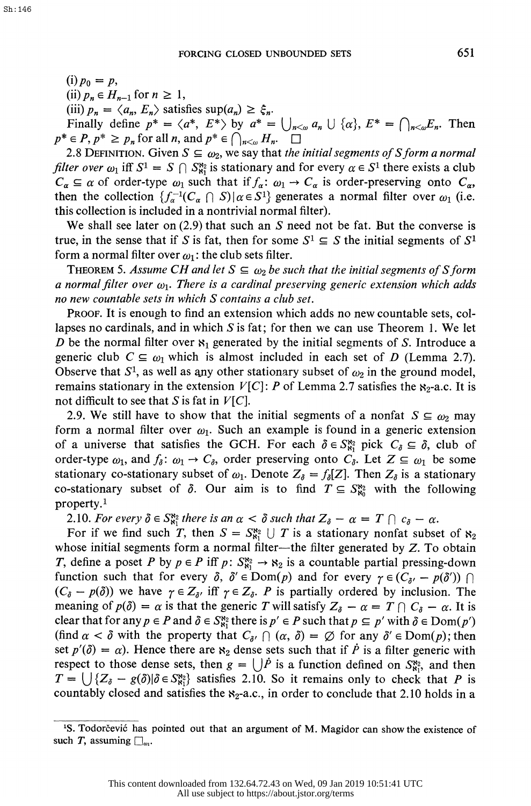$(i) p_0 = p,$ 

(ii)  $p_n \in H_{n-1}$  for  $n \geq 1$ ,

(iii)  $p_n = \langle a_n, E_n \rangle$  satisfies sup $(a_n) \geq \xi_n$ .

Finally define  $p^* = \langle a^*, E^* \rangle$  by  $a^* = \bigcup_{n \leq \omega} a_n \cup \{ \alpha \}, E^* = \bigcap_{n \leq \omega} E_n$ . Then  $p^* \in P$ ,  $p^* \geq p_n$  for all n, and  $p^* \in \bigcap_{n < \omega} H_n$ .  $\square$ 

2.8 DEFINITION. Given  $S \subseteq \omega_2$ , we say that the initial segments of S form a normal *filter over*  $\omega_1$  iff  $S^1 = S \cap S^{\aleph_2}_{\aleph_1}$  is stationary and for every  $\alpha \in S^1$  there exists a club  $C_{\alpha} \subseteq \alpha$  of order-type  $\omega_1$  such that if  $f_{\alpha}: \omega_1 \to C_{\alpha}$  is order-preserving onto  $C_{\alpha}$ , then the collection  $\{f_{\alpha}^{-1}(C_{\alpha} \cap S) | \alpha \in S^1\}$  generates a normal filter over  $\omega_1$  (i.e. this collection is included in a nontrivial normal filter).

We shall see later on  $(2.9)$  that such an S need not be fat. But the converse is true, in the sense that if S is fat, then for some  $S^1 \subseteq S$  the initial segments of  $S^1$ form a normal filter over  $\omega_1$ : the club sets filter.

THEOREM 5. Assume CH and let  $S \subseteq \omega_2$  be such that the initial segments of S form a normal filter over  $\omega_1$ . There is a cardinal preserving generic extension which adds no new countable sets in which S contains a club set.

 PROOF. It is enough to find an extension which adds no new countable sets, col lapses no cardinals, and in which S is fat; for then we can use Theorem 1. We let D be the normal filter over  $\mathbf{x}_1$  generated by the initial segments of S. Introduce a generic club  $C \subseteq \omega_1$  which is almost included in each set of D (Lemma 2.7). Observe that  $S^1$ , as well as any other stationary subset of  $\omega_2$  in the ground model, remains stationary in the extension  $V[C]$ : P of Lemma 2.7 satisfies the  $x_2$ -a.c. It is not difficult to see that S is fat in  $V[C]$ .

2.9. We still have to show that the initial segments of a nonfat  $S \subseteq \omega_2$  may form a normal filter over  $\omega_1$ . Such an example is found in a generic extension of a universe that satisfies the GCH. For each  $\delta \in S_{81}^{82}$  pick  $C_{\delta} \subseteq \delta$ , club of order-type  $\omega_1$ , and  $f_{\delta}$ :  $\omega_1 \rightarrow C_{\delta}$ , order preserving onto  $C_{\delta}$ . Let  $Z \subseteq \omega_1$  be some stationary co-stationary subset of  $\omega_1$ . Denote  $Z_{\delta} = f_{\delta}[Z]$ . Then  $Z_{\delta}$  is a stationary co-stationary subset of  $\delta$ . Our aim is to find  $T \subseteq S_{80}^{82}$  with the following property.1

2.10. For every  $\delta \in S^{\bowtie}_{\aleph_1}$  there is an  $\alpha < \delta$  such that  $Z_{\delta} - \alpha = T \cap c_{\delta} - \alpha$ .

For if we find such T, then  $S = S_{\delta_1}^{\delta_2} \cup T$  is a stationary nonfat subset of  $\delta_2$ whose initial segments form a normal filter-the filter generated by  $Z$ . To obtain *T*, define a poset *P* by  $p \in P$  iff  $p: S_{\kappa_1}^{\kappa_2} \to \kappa_2$  is a countable partial pressing-down function such that for every  $\delta$ ,  $\delta' \in \text{Dom}(p)$  and for every  $\gamma \in (C_{\delta'} - p(\delta')) \cap$  $(C_{\delta} - p(\delta))$  we have  $\gamma \in Z_{\delta'}$  iff  $\gamma \in Z_{\delta}$ . P is partially ordered by inclusion. The meaning of  $p(\delta) = \alpha$  is that the generic T will satisfy  $Z_{\delta} - \alpha = T \cap C_{\delta} - \alpha$ . It is clear that for any  $p \in P$  and  $\delta \in S_{\aleph_1}^{\aleph_2}$  there is  $p' \in P$  such that  $p \subseteq p'$  with  $\delta \in \mathrm{Dom}(p')$ (find  $\alpha < \delta$  with the property that  $C_{\delta}$ ,  $\bigcap (\alpha, \delta) = \emptyset$  for any  $\delta' \in \text{Dom}(p)$ ; then set  $p'(\delta) = \alpha$ ). Hence there are  $\aleph_2$  dense sets such that if P is a filter generic with respect to those dense sets, then  $g = \bigcup \dot{P}$  is a function defined on  $S_{\kappa_1}^{\kappa_2}$ , and then  $T = \bigcup \{Z_{\delta} - g(\delta) | \delta \in S_{\delta_1}^{\delta_2} \}$  satisfies 2.10. So it remains only to check that P is countably closed and satisfies the  $x_2$ -a.c., in order to conclude that 2.10 holds in a

<sup>&</sup>lt;sup>1</sup>S. Todorčević has pointed out that an argument of M. Magidor can show the existence of such T, assuming  $\square_{\omega_1}$ .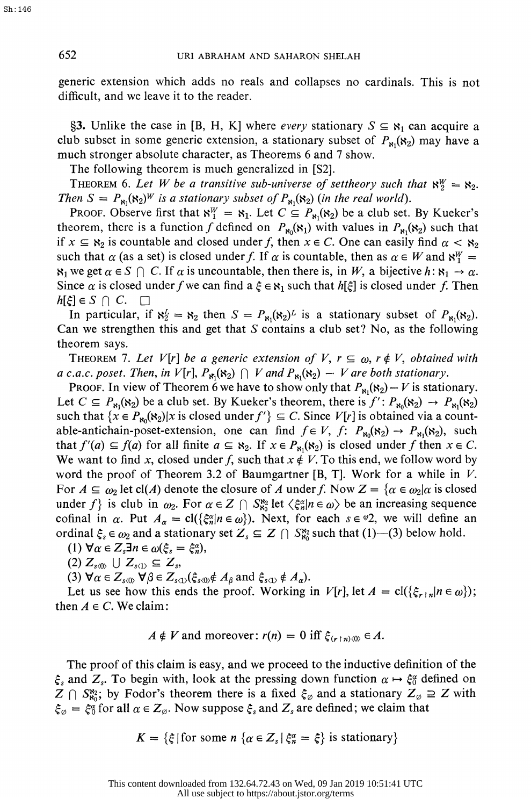652 URI ABRAHAM AND SAHARON SHELAH

 generic extension which adds no reals and collapses no cardinals. This is not difficult, and we leave it to the reader.

§3. Unlike the case in [B, H, K] where *every* stationary  $S \subseteq \mathbb{R}_1$  can acquire a club subset in some generic extension, a stationary subset of  $P_{\text{N}}(k_2)$  may have a much stronger absolute character, as Theorems 6 and 7 show.

The following theorem is much generalized in [S2].

THEOREM 6. Let W be a transitive sub-universe of settheory such that  $\aleph_2^W = \aleph_2$ . Then  $S = P_{\mathbf{s}_1}(\mathbf{s}_2)^W$  is a stationary subset of  $P_{\mathbf{s}_1}(\mathbf{s}_2)$  (in the real world).

PROOF. Observe first that  $\aleph_1^W = \aleph_1$ . Let  $C \subseteq P_{\aleph_1}(\aleph_2)$  be a club set. By Kueker's theorem, there is a function f defined on  $P_{\kappa_0}(\kappa_1)$  with values in  $P_{\kappa_1}(\kappa_2)$  such that if  $x \subseteq s_2$  is countable and closed under f, then  $x \in C$ . One can easily find  $\alpha < s_2$ such that  $\alpha$  (as a set) is closed under f. If  $\alpha$  is countable, then as  $\alpha \in W$  and  $\aleph_1^W =$  $\kappa_1$  we get  $\alpha \in S \cap C$ . If  $\alpha$  is uncountable, then there is, in W, a bijective  $h: \kappa_1 \to \alpha$ . Since  $\alpha$  is closed under f we can find  $a \xi \in \mathbb{R}_1$  such that  $h[\xi]$  is closed under f. Then  $h[\xi] \in S \cap C. \quad \Box$ 

In particular, if  $\aleph_2^L = \aleph_2$  then  $S = P_{\aleph_1}(\aleph_2)^L$  is a stationary subset of  $P_{\aleph_1}(\aleph_2)$ . Can we strengthen this and get that S contains a club set? No, as the following theorem says.

THEOREM 7. Let V[r] be a generic extension of V,  $r \subseteq \omega$ ,  $r \notin V$ , obtained with a c.a.c. poset. Then, in  $V[r]$ ,  $P_{\kappa_1}(\kappa_2)$   $\cap$  V and  $P_{\kappa_1}(\kappa_2)$  – V are both stationary.

PROOF. In view of Theorem 6 we have to show only that  $P_{\text{N1}}(\text{K}_2) - V$  is stationary. Let  $C \subseteq P_{\kappa_1}(\kappa_2)$  be a club set. By Kueker's theorem, there is  $f' : P_{\kappa_0}(\kappa_2) \to P_{\kappa_1}(\kappa_2)$ such that  $\{x \in P_{\kappa_0}(\kappa_2)|x \text{ is closed under } f'\} \subseteq C$ . Since  $V[r]$  is obtained via a countable-antichain-poset-extension, one can find  $f \in V$ ,  $f: P_{\kappa_0}(\kappa_2) \to P_{\kappa_1}(\kappa_2)$ , such that  $f'(a) \subseteq f(a)$  for all finite  $a \subseteq s_2$ . If  $x \in P_{s_1}(s_2)$  is closed under f then  $x \in C$ . We want to find x, closed under f, such that  $x \notin V$ . To this end, we follow word by word the proof of Theorem 3.2 of Baumgartner [B, T]. Work for a while in  $V$ . For  $A \subseteq \omega_2$  let cl(A) denote the closure of A under f. Now  $Z = {\alpha \in \omega_2 | \alpha \text{ is closed}}$ under f} is club in  $\omega_2$ . For  $\alpha \in Z \cap S_{80}^{82}$  let  $\langle \xi_n^{\alpha} | n \in \omega \rangle$  be an increasing sequence cofinal in  $\alpha$ . Put  $A_{\alpha} = \text{cl}(\{\xi_n^{\alpha} | n \in \omega\})$ . Next, for each  $s \in \mathcal{P}$ , we will define an ordinal  $\xi_s \in \omega_2$  and a stationary set  $Z_s \subseteq Z \cap S_{\kappa_0}^{\kappa_2}$  such that (1)--(3) below hold.

(1)  $\forall \alpha \in Z_s \exists n \in \omega(\xi_s = \xi_n^{\alpha}),$ 

$$
(2) Z_{s\langle 0 \rangle} \cup Z_{s\langle 1 \rangle} \subseteq Z_s,
$$

(3)  $\nabla \alpha \in Z_{s(0)}$ ,  $\nabla \beta \in Z_{s(1)}(\xi_{s(0)} \notin A_{\beta}$  and  $\xi_{s(1)} \notin A_{\alpha}$ .

Let us see how this ends the proof. Working in  $V[r]$ , let  $A = \text{cl}(\{\xi_{r,n}|n \in \omega\})$ ; then  $A \in C$ . We claim:

$$
A \notin V \text{ and moreover: } r(n) = 0 \text{ iff } \xi_{(r+n)\langle 0 \rangle} \in A.
$$

 The proof of this claim is easy, and we proceed to the inductive definition of the  $\xi_s$  and  $Z_s$ . To begin with, look at the pressing down function  $\alpha \mapsto \xi_0^{\alpha}$  defined on  $Z \cap S_{80}^{82}$ ; by Fodor's theorem there is a fixed  $\xi_{\emptyset}$  and a stationary  $Z_{\emptyset} \supseteq Z$  with  $\xi_{\varnothing} = \xi_0^{\alpha}$  for all  $\alpha \in Z_{\varnothing}$ . Now suppose  $\xi_s$  and  $Z_s$  are defined; we claim that

$$
K = \{\xi \mid \text{for some } n \text{ } \{ \alpha \in Z_s \mid \xi_n^{\alpha} = \xi \} \text{ is stationary} \}
$$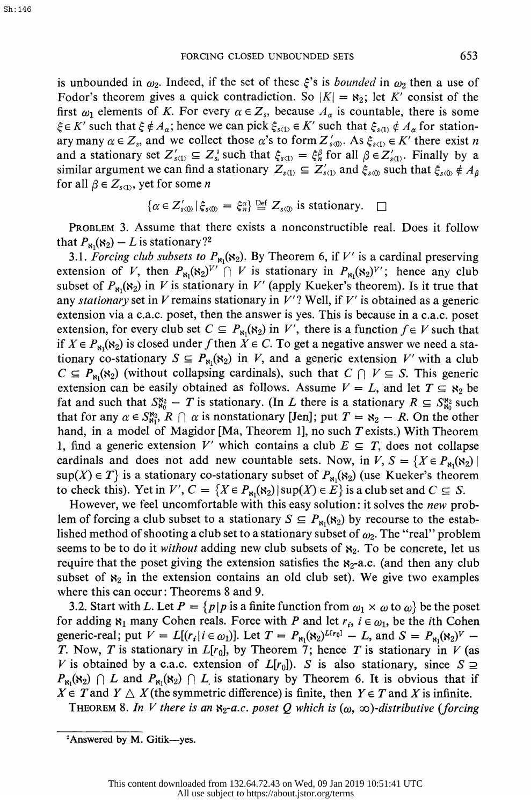is unbounded in  $\omega_2$ . Indeed, if the set of these  $\xi$ 's is bounded in  $\omega_2$  then a use of Fodor's theorem gives a quick contradiction. So  $|K| = \aleph_2$ ; let K' consist of the first  $\omega_1$  elements of K. For every  $\alpha \in Z_s$ , because  $A_\alpha$  is countable, there is some  $\xi \in K'$  such that  $\xi \notin A_\alpha$ ; hence we can pick  $\xi_{s(1)} \in K'$  such that  $\xi_{s(1)} \notin A_\alpha$  for stationary many  $\alpha \in Z_s$ , and we collect those  $\alpha$ 's to form  $Z'_{s(0)}$ . As  $\xi_{s(1)} \in K'$  there exist n and a stationary set  $Z'_{s(1)} \subseteq Z_s^1$  such that  $\xi_{s(1)} = \xi_n^{\beta}$  for all  $\beta \in Z'_{s(1)}$ . Finally by a similar argument we can find a stationary  $Z_{s(1)} \subseteq Z'_{s(1)}$  and  $\xi_{s(0)}$  such that  $\xi_{s(0)} \notin A_\beta$ for all  $\beta \in Z_{s(1)}$ , yet for some n

$$
\{\alpha \in Z'_{s(0)} | \xi_{s(0)} = \xi_n^{\alpha}\} \stackrel{\text{Def}}{=} Z_{s(0)} \text{ is stationary. } \square
$$

 PROBLEM 3. Assume that there exists a nonconstructible real. Does it follow that  $P_{\aleph_1}(\aleph_2) - L$  is stationary?<sup>2</sup>

3.1. Forcing club subsets to  $P_{\aleph_1}(x_2)$ . By Theorem 6, if V' is a cardinal preserving extension of V, then  $P_{\kappa_1}(\kappa_2)^{V'} \cap V$  is stationary in  $P_{\kappa_1}(\kappa_2)^{V'}$ ; hence any club subset of  $P_{\text{N}_1}(\mathbf{x}_2)$  in V is stationary in V' (apply Kueker's theorem). Is it true that any stationary set in  $V$  remains stationary in  $V'$ ? Well, if  $V'$  is obtained as a generic extension via a c.a.c. poset, then the answer is yes. This is because in a c.a.c. poset extension, for every club set  $C \subseteq P_{\kappa_1}(\kappa_2)$  in V', there is a function  $f \in V$  such that if  $X \in P_{81}(8_2)$  is closed under f then  $X \in C$ . To get a negative answer we need a stationary co-stationary  $S \subseteq P_{\aleph_1}(\aleph_2)$  in V, and a generic extension V' with a club  $C \subseteq P_{\mathbf{x}_1}(\mathbf{x}_2)$  (without collapsing cardinals), such that  $C \cap V \subseteq S$ . This generic extension can be easily obtained as follows. Assume  $V = L$ , and let  $T \subseteq s_2$  be fat and such that  $S_{80}^{82} - T$  is stationary. (In L there is a stationary  $R \subseteq S_{80}^{82}$  such that for any  $\alpha \in S^{\bowtie}_{\bowtie}$ ,  $R \cap \alpha$  is nonstationary [Jen]; put  $T = \aleph_2 - R$ . On the other hand, in a model of Magidor [Ma, Theorem 1], no such T exists.) With Theorem 1, find a generic extension V' which contains a club  $E \subseteq T$ , does not collapse cardinals and does not add new countable sets. Now, in  $V, S = \{X \in P_{\aleph_1}(\aleph_2) \mid$  $\sup(X) \in T$  is a stationary co-stationary subset of  $P_{\aleph_1}(\aleph_2)$  (use Kueker's theorem to check this). Yet in  $V'$ ,  $C = \{X \in P_{\kappa_1}(\kappa_2) | \sup(X) \in E\}$  is a club set and  $C \subseteq S$ .

However, we feel uncomfortable with this easy solution: it solves the new problem of forcing a club subset to a stationary  $S \subseteq P_{\kappa_1}(\kappa_2)$  by recourse to the established method of shooting a club set to a stationary subset of  $\omega_2$ . The "real" problem seems to be to do it *without* adding new club subsets of  $\aleph_2$ . To be concrete, let us require that the poset giving the extension satisfies the  $x_2$ -a.c. (and then any club subset of  $x_2$  in the extension contains an old club set). We give two examples where this can occur: Theorems 8 and 9.

3.2. Start with L. Let  $P = \{p | p$  is a finite function from  $\omega_1 \times \omega$  to  $\omega\}$  be the poset for adding  $\mathbf{x}_1$  many Cohen reals. Force with P and let  $r_i$ ,  $i \in \omega_1$ , be the *i*th Cohen generic-real; put  $V = L[(r_i | i \in \omega_1)]$ . Let  $T = P_{\kappa_1}(\kappa_2)^{L[r_0]} - L$ , and  $S = P_{\kappa_1}(\kappa_2)^V$ T. Now, T is stationary in  $L[r_0]$ , by Theorem 7; hence T is stationary in V (as V is obtained by a c.a.c. extension of  $L[r_0]$ . S is also stationary, since  $S \supseteq$  $P_{\kappa_1}(\kappa_2)$   $\cap$  L and  $P_{\kappa_1}(\kappa_2)$   $\cap$  L is stationary by Theorem 6. It is obvious that if  $X \in T$  and  $Y \triangle X$ (the symmetric difference) is finite, then  $Y \in T$  and X is infinite.

THEOREM 8. In V there is an  $S_2$ -a.c. poset Q which is  $(\omega, \infty)$ -distributive (forcing

<sup>&</sup>lt;sup>2</sup>Answered by M. Gitik-yes.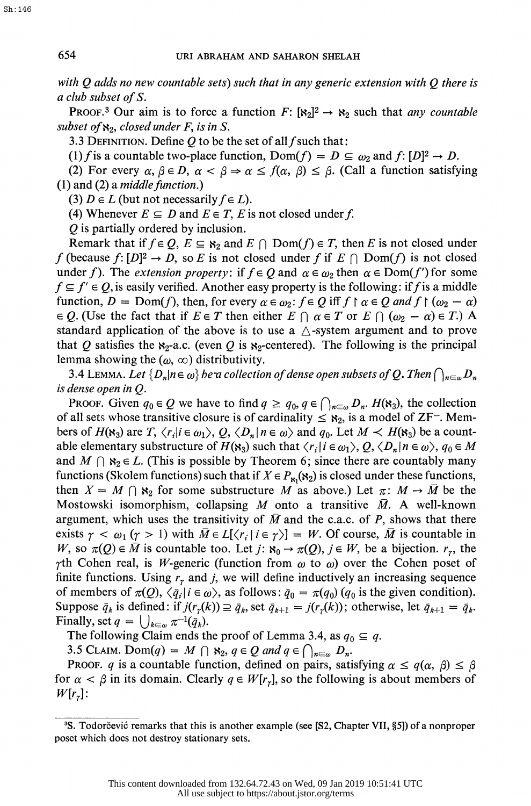with Q adds no new countable sets) such that in any generic extension with  $Q$  there is a club subset of S.

PROOF.<sup>3</sup> Our aim is to force a function  $F: [8<sub>2</sub>]<sup>2</sup> \rightarrow 8<sub>2</sub>$  such that *any countable* subset of  $\aleph_2$ , closed under F, is in S.

3.3 DEFINITION. Define  $Q$  to be the set of all f such that:

(1) f is a countable two-place function,  $Dom(f) = D \subseteq \omega_2$  and  $f: [D]^2 \to D$ .

(2) For every  $\alpha, \beta \in D$ ,  $\alpha < \beta \Rightarrow \alpha \le f(\alpha, \beta) \le \beta$ . (Call a function satisfying  $(1)$  and  $(2)$  a *middle function*.)

(3)  $D \in L$  (but not necessarily  $f \in L$ ).

(4) Whenever  $E \subseteq D$  and  $E \in T$ , E is not closed under f.

Q is partially ordered by inclusion.

Remark that if  $f \in Q$ ,  $E \subseteq \aleph_2$  and  $E \cap \text{Dom}(f) \in T$ , then E is not closed under f (because  $f: [D]^2 \to D$ , so E is not closed under f if  $E \cap \text{Dom}(f)$  is not closed under f). The *extension property*: if  $f \in Q$  and  $\alpha \in \omega_2$  then  $\alpha \in \text{Dom}(f')$  for some  $f \subseteq f' \in Q$ , is easily verified. Another easy property is the following: if f is a middle function,  $D = \text{Dom}(f)$ , then, for every  $\alpha \in \omega_2$ :  $f \in Q$  iff  $f \upharpoonright \alpha \in Q$  and  $f \upharpoonright (\omega_2 - \alpha)$  $\in Q$ . (Use the fact that if  $E \in T$  then either  $E \cap \alpha \in T$  or  $E \cap (\omega_2 - \alpha) \in T$ .) A standard application of the above is to use a  $\triangle$ -system argument and to prove that Q satisfies the  $x_2$ -a.c. (even Q is  $x_2$ -centered). The following is the principal lemma showing the  $(\omega, \infty)$  distributivity.

3.4 LEMMA. Let  $\{D_n | n \in \omega\}$  be a collection of dense open subsets of Q. Then  $\bigcap_{n\in\omega}D_n$ is dense open in Q.

PROOF. Given  $q_0 \in Q$  we have to find  $q \ge q_0, q \in \bigcap_{n \in \omega} D_n$ .  $H(\aleph_3)$ , the collection of all sets whose transitive closure is of cardinality  $\leq$   $\aleph_2$ , is a model of ZF<sup>-</sup>. Members of  $H(\mathbf{R}_3)$  are  $T, \langle r_i | i \in \omega_1 \rangle$ ,  $Q, \langle D_n | n \in \omega \rangle$  and  $q_0$ . Let  $M \prec H(\mathbf{R}_3)$  be a countable elementary substructure of  $H(\mathbf{s}_3)$  such that  $\langle r_i | i \in \omega_1 \rangle$ ,  $Q$ ,  $\langle D_n | n \in \omega \rangle$ ,  $q_0 \in M$ and  $M \cap \aleph_2 \in L$ . (This is possible by Theorem 6; since there are countably many functions (Skolem functions) such that if  $X \in P_{\aleph_1}(\aleph_2)$  is closed under these functions, then  $X = M \cap \mathfrak{e}_2$  for some substructure M as above.) Let  $\pi: M \to \overline{M}$  be the Mostowski isomorphism, collapsing M onto a transitive  $\overline{M}$ . A well-known argument, which uses the transitivity of  $\overline{M}$  and the c.a.c. of P, shows that there exists  $\gamma < \omega_1$  ( $\gamma > 1$ ) with  $\overline{M} \in L[\langle r_i | i \in \gamma \rangle] = W$ . Of course,  $\overline{M}$  is countable in W, so  $\pi(Q) \in \overline{M}$  is countable too. Let  $j: \aleph_0 \to \pi(Q)$ ,  $j \in W$ , be a bijection.  $r_r$ , the  $\gamma$ th Cohen real, is W-generic (function from  $\omega$  to  $\omega$ ) over the Cohen poset of finite functions. Using  $r<sub>r</sub>$  and j, we will define inductively an increasing sequence of members of  $\pi(Q)$ ,  $\langle \bar{q}_i | i \in \omega \rangle$ , as follows:  $\bar{q}_0 = \pi(q_0)$   $(q_0$  is the given condition). Suppose  $\bar{q}_k$  is defined: if  $j(r_r(k)) \supseteq \bar{q}_k$ , set  $\bar{q}_{k+1} = j(r_r(k))$ ; otherwise, let  $\bar{q}_{k+1} = \bar{q}_k$ . Finally, set  $q = \bigcup_{k \in \omega} \pi^{-1}(\bar{q}_k)$ .

The following Claim ends the proof of Lemma 3.4, as  $q_0 \n\t\subseteq q$ .

3.5 CLAIM. Dom $(q) = M \cap \mathfrak{S}_2$ ,  $q \in Q$  and  $q \in \bigcap_{n \in \omega} D_n$ .

PROOF. q is a countable function, defined on pairs, satisfying  $\alpha \leq q(\alpha, \beta) \leq \beta$ for  $\alpha < \beta$  in its domain. Clearly  $q \in W[r_r]$ , so the following is about members of  $W[r_r]$ :

<sup>&</sup>lt;sup>3</sup>S. Todorčević remarks that this is another example (see [S2, Chapter VII, §5]) of a nonproper poset which does not destroy stationary sets.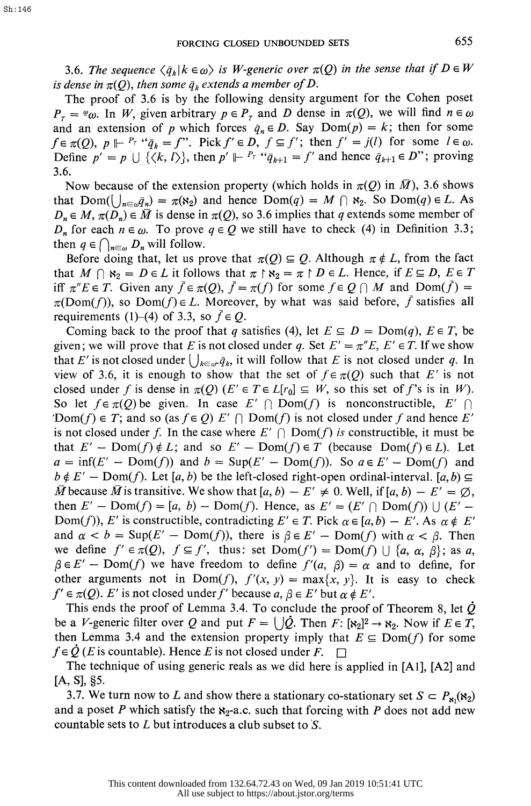3.6. The sequence  $\langle \bar{q}_k | k \in \omega \rangle$  is W-generic over  $\pi(Q)$  in the sense that if  $D \in W$ is dense in  $\pi(Q)$ , then some  $\bar{q}_k$  extends a member of D.

 The proof of 3.6 is by the following density argument for the Cohen poset  $P_r = \ell \omega$ . In W, given arbitrary  $p \in P_r$  and D dense in  $\pi(Q)$ , we will find  $n \in \omega$ and an extension of p which forces  $\bar{q}_n \in D$ . Say  $Dom(p) = k$ ; then for some  $f \in \pi(Q)$ ,  $p \Vdash^{P_T} \text{``}\overline{q}_k = f$ ". Pick  $f' \in D$ ,  $f \subseteq f'$ ; then  $f' = j(l)$  for some  $l \in \omega$ . Define  $p' = p \cup \{\langle k, l \rangle\}$ , then  $p' \Vdash^{P_l} \text{``}\bar{q}_{k+1} = f'$  and hence  $\bar{q}_{k+1} \in D''$ ; proving 3.6.

Now because of the extension property (which holds in  $\pi(Q)$  in  $\overline{M}$ ), 3.6 shows that  $Dom(\bigcup_{n\in\omega}q_n) = \pi(\aleph_2)$  and hence  $Dom(q) = M \cap \aleph_2$ . So  $Dom(q) \in L$ . As  $D_n \in M$ ,  $\pi(D_n) \in \overline{M}$  is dense in  $\pi(Q)$ , so 3.6 implies that q extends some member of  $D_n$  for each  $n \in \omega$ . To prove  $q \in Q$  we still have to check (4) in Definition 3.3; then  $q \in \bigcap_{n \in \omega} D_n$  will follow.

Before doing that, let us prove that  $\pi(Q) \subseteq Q$ . Although  $\pi \notin L$ , from the fact that  $M \cap s_2 = D \in L$  it follows that  $\pi \restriction s_2 = \pi \restriction D \in L$ . Hence, if  $E \subseteq D$ ,  $E \in T$ iff  $\pi'' E \in T$ . Given any  $\bar{f} \in \pi(Q)$ ,  $\bar{f} = \pi(f)$  for some  $f \in Q \cap M$  and  $Dom(\bar{f}) =$  $\pi(Dom(f))$ , so  $Dom(f) \in L$ . Moreover, by what was said before, f satisfies all requirements (1)–(4) of 3.3, so  $\bar{f} \in Q$ .

Coming back to the proof that q satisfies (4), let  $E \subseteq D = \text{Dom}(q)$ ,  $E \in T$ , be given; we will prove that E is not closed under q. Set  $E' = \pi''E$ ,  $E' \in T$ . If we show that E' is not closed under  $\bigcup_{k \in \omega} \bar{q}_k$ , it will follow that E is not closed under q. In view of 3.6, it is enough to show that the set of  $f \in \pi(Q)$  such that E' is not closed under f is dense in  $\pi(Q)$  ( $E' \in T \in L[r_0] \subseteq W$ , so this set of f's is in W). So let  $f \in \pi(Q)$  be given. In case  $E' \cap \text{Dom}(f)$  is nonconstructible,  $E' \cap$ 'Dom(f)  $\in T$ ; and so (as  $f \in Q$ )  $E' \cap \text{Dom}(f)$  is not closed under f and hence E' is not closed under f. In the case where  $E' \cap Dom(f)$  is constructible, it must be that  $E' - \text{Dom}(f) \notin L$ ; and so  $E' - \text{Dom}(f) \in T$  (because  $\text{Dom}(f) \in L$ ). Let  $a = \inf(E' - \text{Dom}(f))$  and  $b = \text{Sup}(E' - \text{Dom}(f))$ . So  $a \in E' - \text{Dom}(f)$  and  $b \notin E'$  – Dom(f). Let [a, b) be the left-closed right-open ordinal-interval. [a, b)  $\subseteq$  $\overline{M}$  because  $\overline{M}$  is transitive. We show that [a, b)  $-E' \neq 0$ . Well, if [a, b)  $-E' = \emptyset$ , then  $E'$  - Dom(f) = [a, b) - Dom(f). Hence, as  $E' = (E' \cap \text{Dom}(f)) \cup (E'$  -Dom(f)), E' is constructible, contradicting  $E' \in T$ . Pick  $\alpha \in [a, b) - E'$ . As  $\alpha \notin E'$ and  $\alpha < b = \text{Sup}(E' - \text{Dom}(f))$ , there is  $\beta \in E' - \text{Dom}(f)$  with  $\alpha < \beta$ . Then we define  $f' \in \pi(Q)$ ,  $f \subseteq f'$ , thus: set  $Dom(f') = Dom(f) \cup \{a, \alpha, \beta\}$ ; as a,  $\beta \in E'$  - Dom(f) we have freedom to define  $f'(a, \beta) = \alpha$  and to define, for other arguments not in Dom(f),  $f'(x, y) = \max\{x, y\}$ . It is easy to check  $f' \in \pi(Q)$ . E' is not closed under f' because  $a, \beta \in E'$  but  $\alpha \notin E'$ .

This ends the proof of Lemma 3.4. To conclude the proof of Theorem 8, let  $\dot{Q}$ be a V-generic filter over Q and put  $F = \bigcup \dot{Q}$ . Then  $F: [8_2]^2 \rightarrow 8_2$ . Now if  $E \in T$ , then Lemma 3.4 and the extension property imply that  $E \subseteq Dom(f)$  for some  $f \in \mathcal{Q}(E)$  is countable). Hence E is not closed under  $F$ .

 The technique of using generic reals as we did here is applied in [Al], [A2] and  $[A, S]$ , §5.

3.7. We turn now to L and show there a stationary co-stationary set  $S \subset P_{\kappa_1}(\kappa_2)$ and a poset P which satisfy the  $x_2$ -a.c. such that forcing with P does not add new countable sets to L but introduces a club subset to S.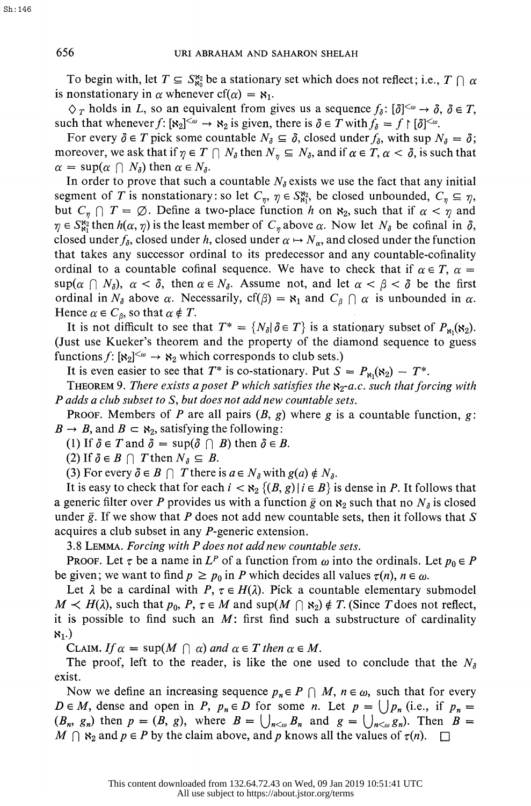To begin with, let  $T \subseteq S_{80}^{82}$  be a stationary set which does not reflect; i.e.,  $T \cap \alpha$ is nonstationary in  $\alpha$  whenever cf( $\alpha$ ) =  $\mathbf{s}_1$ .

 $\Diamond_T$  holds in L, so an equivalent from gives us a sequence  $f_{\delta}$ :  $[\delta]^{<\omega} \rightarrow \delta$ ,  $\delta \in T$ , such that whenever  $f: [\mathbf{x}_2]^{<\omega} \to \mathbf{x}_2$  is given, there is  $\delta \in T$  with  $f_{\delta} = f \upharpoonright [\delta]^{<\omega}$ .

For every  $\delta \in T$  pick some countable  $N_{\delta} \subseteq \delta$ , closed under  $f_{\delta}$ , with sup  $N_{\delta} = \delta$ ; moreover, we ask that if  $\eta \in T \cap N_\delta$  then  $N_\eta \subseteq N_\delta$ , and if  $\alpha \in T$ ,  $\alpha < \delta$ , is such that  $\alpha = \sup(\alpha \cap N_{\delta})$  then  $\alpha \in N_{\delta}$ .

In order to prove that such a countable  $N_{\delta}$  exists we use the fact that any initial segment of T is nonstationary: so let  $C_n$ ,  $\eta \in S_{\text{N}_1}^{\text{S}_2}$ , be closed unbounded,  $C_n \subseteq \eta$ , but  $C_{\eta} \cap T = \emptyset$ . Define a two-place function h on  $\aleph_2$ , such that if  $\alpha < \eta$  and  $\eta \in S_{81}^{82}$  then  $h(\alpha, \eta)$  is the least member of  $C_{\eta}$  above  $\alpha$ . Now let  $N_{\delta}$  be cofinal in  $\delta$ , closed under  $f_{\delta}$ , closed under h, closed under  $\alpha \mapsto N_{\alpha}$ , and closed under the function that takes any successor ordinal to its predecessor and any countable-cofinality ordinal to a countable cofinal sequence. We have to check that if  $\alpha \in T$ ,  $\alpha =$  $\sup(\alpha \cap N_{\delta})$ ,  $\alpha < \delta$ , then  $\alpha \in N_{\delta}$ . Assume not, and let  $\alpha < \beta < \delta$  be the first ordinal in  $N_{\delta}$  above  $\alpha$ . Necessarily,  $cf(\beta) = \aleph_1$  and  $C_{\beta} \cap \alpha$  is unbounded in  $\alpha$ . Hence  $\alpha \in C_{\beta}$ , so that  $\alpha \notin T$ .

It is not difficult to see that  $T^* = \{N_\delta | \delta \in T\}$  is a stationary subset of  $P_{\delta_1}(x_2)$ . (Just use Kueker's theorem and the property of the diamond sequence to guess functions  $f: [8<sub>2</sub>]^{<\omega} \rightarrow 8<sub>2</sub>$  which corresponds to club sets.)

It is even easier to see that  $T^*$  is co-stationary. Put  $S = P_{81}(8_2) - T^*$ .

THEOREM 9. There exists a poset P which satisfies the  $\aleph_2$ -a.c. such that forcing with P adds a club subset to S, but does not add new countable sets.

**PROOF.** Members of P are all pairs  $(B, g)$  where g is a countable function, g:  $B \rightarrow B$ , and  $B \subset \aleph_2$ , satisfying the following:

(1) If  $\delta \in T$  and  $\delta = \sup(\delta \cap B)$  then  $\delta \in B$ .

(2) If  $\delta \in B \cap T$  then  $N_{\delta} \subseteq B$ .

(3) For every  $\delta \in B \cap T$  there is  $a \in N_{\delta}$  with  $g(a) \notin N_{\delta}$ .

It is easy to check that for each  $i < \aleph_2$  { $(B, g) | i \in B$ } is dense in P. It follows that a generic filter over P provides us with a function  $\bar{g}$  on  $\aleph_2$  such that no  $N_{\delta}$  is closed under  $\bar{g}$ . If we show that P does not add new countable sets, then it follows that S acquires a club subset in any P-generic extension.

3.8 LEMMA. Forcing with P does not add new countable sets.

PROOF. Let  $\tau$  be a name in  $L^p$  of a function from  $\omega$  into the ordinals. Let  $p_0 \in P$ be given; we want to find  $p \ge p_0$  in P which decides all values  $\tau(n)$ ,  $n \in \omega$ .

Let  $\lambda$  be a cardinal with P,  $\tau \in H(\lambda)$ . Pick a countable elementary submodel  $M \prec H(\lambda)$ , such that  $p_0$ ,  $P, \tau \in M$  and sup( $M \cap S_2$ )  $\notin T$ . (Since T does not reflect, it is possible to find such an  $M$ : first find such a substructure of cardinality  $81.)$ 

CLAIM. If  $\alpha = \sup(M \cap \alpha)$  and  $\alpha \in T$  then  $\alpha \in M$ .

The proof, left to the reader, is like the one used to conclude that the  $N_a$ exist.

Now we define an increasing sequence  $p_n \in P \cap M$ ,  $n \in \omega$ , such that for every  $D \in M$ , dense and open in P,  $p_n \in D$  for some n. Let  $p = \bigcup p_n$  (i.e., if  $p_n =$  $(B_n, g_n)$  then  $p = (B, g)$ , where  $B = \bigcup_{n < \omega} B_n$  and  $g = \bigcup_{n < \omega} g_n$ . Then  $B = \bigcup_{n < \omega} g_n$  $M \cap \mathfrak{R}_2$  and  $p \in P$  by the claim above, and p knows all the values of  $\tau(n)$ .  $\Box$